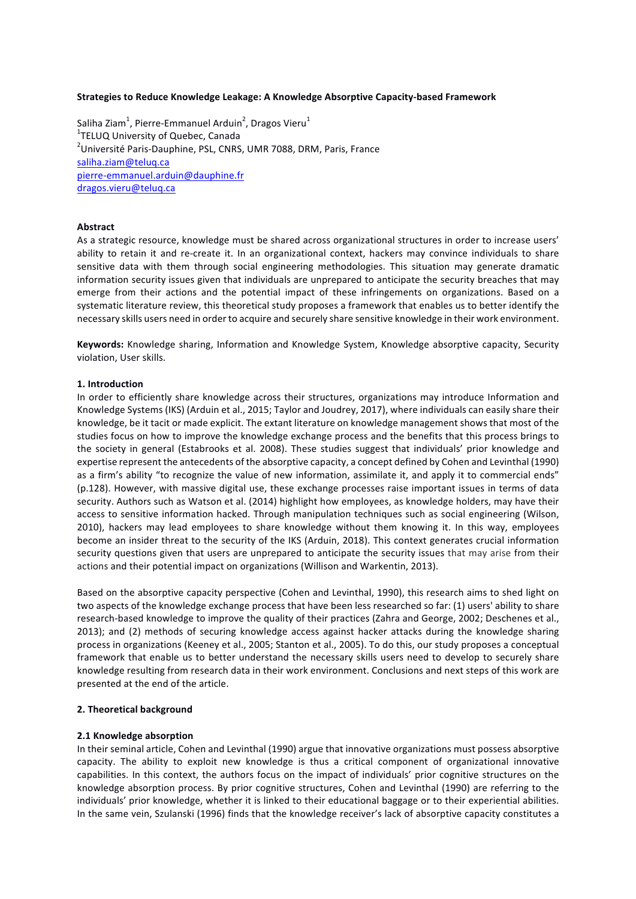#### **Strategies to Reduce Knowledge Leakage: A Knowledge Absorptive Capacity-based Framework**

Saliha Ziam<sup>1</sup>, Pierre-Emmanuel Arduin<sup>2</sup>, Dragos Vieru<sup>1</sup> <sup>1</sup>TELUQ University of Quebec, Canada  $^{2}$ Université Paris-Dauphine, PSL, CNRS, UMR 7088, DRM, Paris, France saliha.ziam@teluq.ca pierre-emmanuel.arduin@dauphine.fr dragos.vieru@teluq.ca

#### **Abstract**

As a strategic resource, knowledge must be shared across organizational structures in order to increase users' ability to retain it and re-create it. In an organizational context, hackers may convince individuals to share sensitive data with them through social engineering methodologies. This situation may generate dramatic information security issues given that individuals are unprepared to anticipate the security breaches that may emerge from their actions and the potential impact of these infringements on organizations. Based on a systematic literature review, this theoretical study proposes a framework that enables us to better identify the necessary skills users need in order to acquire and securely share sensitive knowledge in their work environment.

Keywords: Knowledge sharing, Information and Knowledge System, Knowledge absorptive capacity, Security violation, User skills.

#### **1. Introduction**

In order to efficiently share knowledge across their structures, organizations may introduce Information and Knowledge Systems (IKS) (Arduin et al., 2015; Taylor and Joudrey, 2017), where individuals can easily share their knowledge, be it tacit or made explicit. The extant literature on knowledge management shows that most of the studies focus on how to improve the knowledge exchange process and the benefits that this process brings to the society in general (Estabrooks et al. 2008). These studies suggest that individuals' prior knowledge and expertise represent the antecedents of the absorptive capacity, a concept defined by Cohen and Levinthal (1990) as a firm's ability "to recognize the value of new information, assimilate it, and apply it to commercial ends" (p.128). However, with massive digital use, these exchange processes raise important issues in terms of data security. Authors such as Watson et al. (2014) highlight how employees, as knowledge holders, may have their access to sensitive information hacked. Through manipulation techniques such as social engineering (Wilson, 2010), hackers may lead employees to share knowledge without them knowing it. In this way, employees become an insider threat to the security of the IKS (Arduin, 2018). This context generates crucial information security questions given that users are unprepared to anticipate the security issues that may arise from their actions and their potential impact on organizations (Willison and Warkentin, 2013).

Based on the absorptive capacity perspective (Cohen and Levinthal, 1990), this research aims to shed light on two aspects of the knowledge exchange process that have been less researched so far: (1) users' ability to share research-based knowledge to improve the quality of their practices (Zahra and George, 2002; Deschenes et al., 2013); and (2) methods of securing knowledge access against hacker attacks during the knowledge sharing process in organizations (Keeney et al., 2005; Stanton et al., 2005). To do this, our study proposes a conceptual framework that enable us to better understand the necessary skills users need to develop to securely share knowledge resulting from research data in their work environment. Conclusions and next steps of this work are presented at the end of the article.

#### **2. Theoretical background**

#### **2.1 Knowledge absorption**

In their seminal article, Cohen and Levinthal (1990) argue that innovative organizations must possess absorptive capacity. The ability to exploit new knowledge is thus a critical component of organizational innovative capabilities. In this context, the authors focus on the impact of individuals' prior cognitive structures on the knowledge absorption process. By prior cognitive structures, Cohen and Levinthal (1990) are referring to the individuals' prior knowledge, whether it is linked to their educational baggage or to their experiential abilities. In the same vein, Szulanski (1996) finds that the knowledge receiver's lack of absorptive capacity constitutes a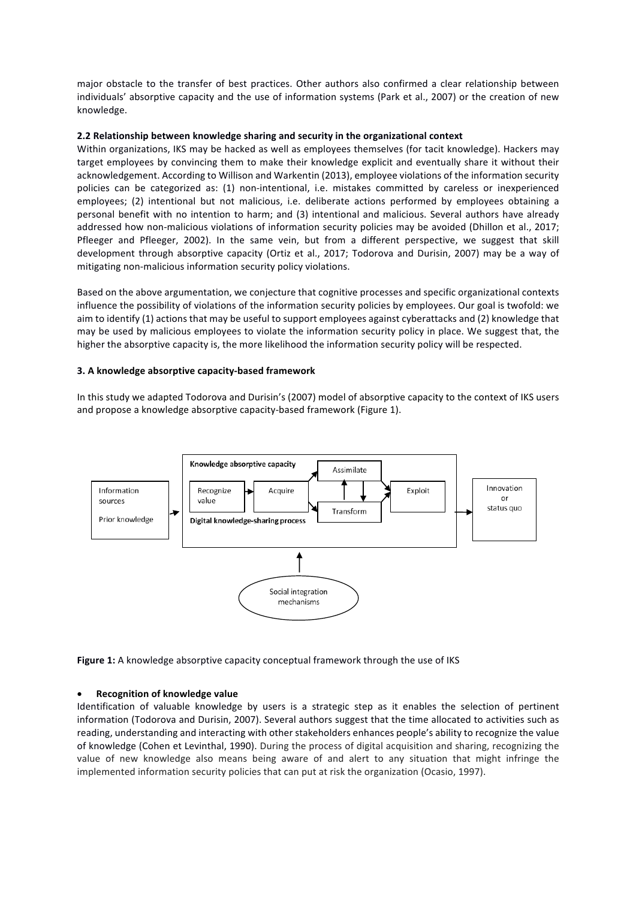major obstacle to the transfer of best practices. Other authors also confirmed a clear relationship between individuals' absorptive capacity and the use of information systems (Park et al., 2007) or the creation of new knowledge. 

### **2.2** Relationship between knowledge sharing and security in the organizational context

Within organizations, IKS may be hacked as well as employees themselves (for tacit knowledge). Hackers may target employees by convincing them to make their knowledge explicit and eventually share it without their acknowledgement. According to Willison and Warkentin (2013), employee violations of the information security policies can be categorized as: (1) non-intentional, i.e. mistakes committed by careless or inexperienced employees; (2) intentional but not malicious, i.e. deliberate actions performed by employees obtaining a personal benefit with no intention to harm; and (3) intentional and malicious. Several authors have already addressed how non-malicious violations of information security policies may be avoided (Dhillon et al., 2017; Pfleeger and Pfleeger, 2002). In the same vein, but from a different perspective, we suggest that skill development through absorptive capacity (Ortiz et al., 2017; Todorova and Durisin, 2007) may be a way of mitigating non-malicious information security policy violations.

Based on the above argumentation, we conjecture that cognitive processes and specific organizational contexts influence the possibility of violations of the information security policies by employees. Our goal is twofold: we aim to identify (1) actions that may be useful to support employees against cyberattacks and (2) knowledge that may be used by malicious employees to violate the information security policy in place. We suggest that, the higher the absorptive capacity is, the more likelihood the information security policy will be respected.

### **3. A knowledge absorptive capacity-based framework**

In this study we adapted Todorova and Durisin's (2007) model of absorptive capacity to the context of IKS users and propose a knowledge absorptive capacity-based framework (Figure 1).



Figure 1: A knowledge absorptive capacity conceptual framework through the use of IKS

#### **Recognition of knowledge value**

Identification of valuable knowledge by users is a strategic step as it enables the selection of pertinent information (Todorova and Durisin, 2007). Several authors suggest that the time allocated to activities such as reading, understanding and interacting with other stakeholders enhances people's ability to recognize the value of knowledge (Cohen et Levinthal, 1990). During the process of digital acquisition and sharing, recognizing the value of new knowledge also means being aware of and alert to any situation that might infringe the implemented information security policies that can put at risk the organization (Ocasio, 1997).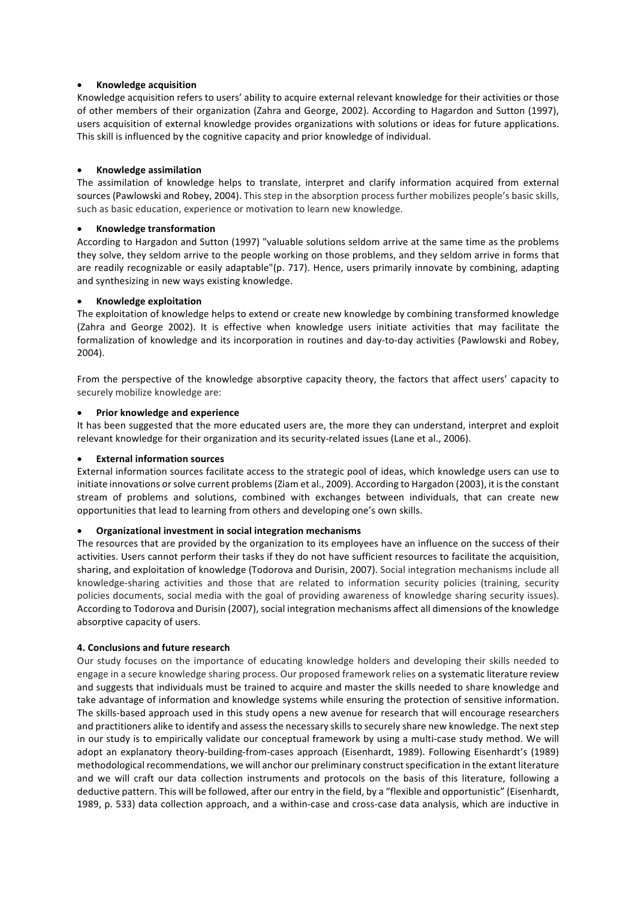# **Knowledge acquisition**

Knowledge acquisition refers to users' ability to acquire external relevant knowledge for their activities or those of other members of their organization (Zahra and George, 2002). According to Hagardon and Sutton (1997), users acquisition of external knowledge provides organizations with solutions or ideas for future applications. This skill is influenced by the cognitive capacity and prior knowledge of individual.

# **Knowledge assimilation**

The assimilation of knowledge helps to translate, interpret and clarify information acquired from external sources (Pawlowski and Robey, 2004). This step in the absorption process further mobilizes people's basic skills, such as basic education, experience or motivation to learn new knowledge.

### **Knowledge transformation**

According to Hargadon and Sutton (1997) "valuable solutions seldom arrive at the same time as the problems they solve, they seldom arrive to the people working on those problems, and they seldom arrive in forms that are readily recognizable or easily adaptable"(p. 717). Hence, users primarily innovate by combining, adapting and synthesizing in new ways existing knowledge.

### **Knowledge exploitation**

The exploitation of knowledge helps to extend or create new knowledge by combining transformed knowledge (Zahra and George 2002). It is effective when knowledge users initiate activities that may facilitate the formalization of knowledge and its incorporation in routines and day-to-day activities (Pawlowski and Robey, 2004). 

From the perspective of the knowledge absorptive capacity theory, the factors that affect users' capacity to securely mobilize knowledge are:

### **Prior knowledge and experience**

It has been suggested that the more educated users are, the more they can understand, interpret and exploit relevant knowledge for their organization and its security-related issues (Lane et al., 2006).

# **External information sources**

External information sources facilitate access to the strategic pool of ideas, which knowledge users can use to initiate innovations or solve current problems (Ziam et al., 2009). According to Hargadon (2003), it is the constant stream of problems and solutions, combined with exchanges between individuals, that can create new opportunities that lead to learning from others and developing one's own skills.

# **Organizational investment in social integration mechanisms**

The resources that are provided by the organization to its employees have an influence on the success of their activities. Users cannot perform their tasks if they do not have sufficient resources to facilitate the acquisition, sharing, and exploitation of knowledge (Todorova and Durisin, 2007). Social integration mechanisms include all knowledge-sharing activities and those that are related to information security policies (training, security policies documents, social media with the goal of providing awareness of knowledge sharing security issues). According to Todorova and Durisin (2007), social integration mechanisms affect all dimensions of the knowledge absorptive capacity of users.

#### **4. Conclusions and future research**

Our study focuses on the importance of educating knowledge holders and developing their skills needed to engage in a secure knowledge sharing process. Our proposed framework relies on a systematic literature review and suggests that individuals must be trained to acquire and master the skills needed to share knowledge and take advantage of information and knowledge systems while ensuring the protection of sensitive information. The skills-based approach used in this study opens a new avenue for research that will encourage researchers and practitioners alike to identify and assess the necessary skills to securely share new knowledge. The next step in our study is to empirically validate our conceptual framework by using a multi-case study method. We will adopt an explanatory theory-building-from-cases approach (Eisenhardt, 1989). Following Eisenhardt's (1989) methodological recommendations, we will anchor our preliminary construct specification in the extant literature and we will craft our data collection instruments and protocols on the basis of this literature, following a deductive pattern. This will be followed, after our entry in the field, by a "flexible and opportunistic" (Eisenhardt, 1989, p. 533) data collection approach, and a within-case and cross-case data analysis, which are inductive in